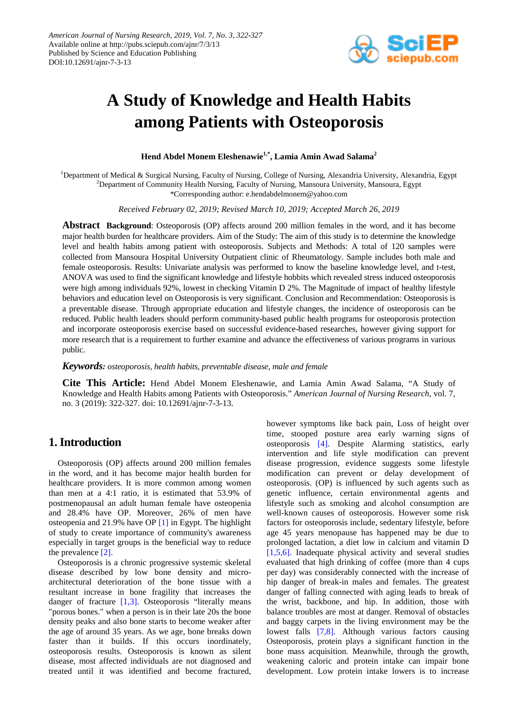

# **A Study of Knowledge and Health Habits among Patients with Osteoporosis**

**Hend Abdel Monem Eleshenawie1,\*, Lamia Amin Awad Salama<sup>2</sup>**

<sup>1</sup>Department of Medical & Surgical Nursing, Faculty of Nursing, College of Nursing, Alexandria University, Alexandria, Egypt <sup>2</sup>Department of Community Health Nursing, Faculty of Nursing, Mansoura University, Mansoura, Egypt \*Corresponding author: e.hendabdelmonem@yahoo.com

*Received February 02, 2019; Revised March 10, 2019; Accepted March 26, 2019*

**Abstract Background**: Osteoporosis (OP) affects around 200 million females in the word, and it has become major health burden for healthcare providers. Aim of the Study: The aim of this study is to determine the knowledge level and health habits among patient with osteoporosis. Subjects and Methods: A total of 120 samples were collected from Mansoura Hospital University Outpatient clinic of Rheumatology. Sample includes both male and female osteoporosis. Results: Univariate analysis was performed to know the baseline knowledge level, and t-test, ANOVA was used to find the significant knowledge and lifestyle hobbits which revealed stress induced osteoporosis were high among individuals 92%, lowest in checking Vitamin D 2%. The Magnitude of impact of healthy lifestyle behaviors and education level on Osteoporosis is very significant. Conclusion and Recommendation: Osteoporosis is a preventable disease. Through appropriate education and lifestyle changes, the incidence of osteoporosis can be reduced. Public health leaders should perform community-based public health programs for osteoporosis protection and incorporate osteoporosis exercise based on successful evidence-based researches, however giving support for more research that is a requirement to further examine and advance the effectiveness of various programs in various public.

#### *Keywords: osteoporosis, health habits, preventable disease, male and female*

**Cite This Article:** Hend Abdel Monem Eleshenawie, and Lamia Amin Awad Salama, "A Study of Knowledge and Health Habits among Patients with Osteoporosis." *American Journal of Nursing Research*, vol. 7, no. 3 (2019): 322-327. doi: 10.12691/ajnr-7-3-13.

## **1. Introduction**

Osteoporosis (OP) affects around 200 million females in the word, and it has become major health burden for healthcare providers. It is more common among women than men at a 4:1 ratio, it is estimated that 53.9% of postmenopausal an adult human female have osteopenia and 28.4% have OP. Moreover, 26% of men have osteopenia and 21.9% have OP [\[1\]](#page-5-0) in Egypt. The highlight of study to create importance of community's awareness especially in target groups is the beneficial way to reduce the prevalence [\[2\].](#page-5-1)

Osteoporosis is a chronic progressive systemic skeletal disease described by low bone density and microarchitectural deterioration of the bone tissue with a resultant increase in bone fragility that increases the danger of fracture  $[1,3]$ . Osteoporosis "literally means" "porous bones." when a person is in their late 20s the bone density peaks and also bone starts to become weaker after the age of around 35 years. As we age, bone breaks down faster than it builds. If this occurs inordinately, osteoporosis results. Osteoporosis is known as silent disease, most affected individuals are not diagnosed and treated until it was identified and become fractured,

however symptoms like back pain, Loss of height over time, stooped posture area early warning signs of osteoporosis [\[4\].](#page-5-2) Despite Alarming statistics, early intervention and life style modification can prevent disease progression, evidence suggests some lifestyle modification can prevent or delay development of osteoporosis. (OP) is influenced by such agents such as genetic influence, certain environmental agents and lifestyle such as smoking and alcohol consumption are well-known causes of osteoporosis. However some risk factors for osteoporosis include, sedentary lifestyle, before age 45 years menopause has happened may be due to prolonged lactation, a diet low in calcium and vitamin D [\[1,5,6\].](#page-5-0) Inadequate physical activity and several studies evaluated that high drinking of coffee (more than 4 cups per day) was considerably connected with the increase of hip danger of break-in males and females. The greatest danger of falling connected with aging leads to break of the wrist, backbone, and hip. In addition, those with balance troubles are most at danger. Removal of obstacles and baggy carpets in the living environment may be the lowest falls [\[7,8\].](#page-5-3) Although various factors causing Osteoporosis, protein plays a significant function in the bone mass acquisition. Meanwhile, through the growth, weakening caloric and protein intake can impair bone development. Low protein intake lowers is to increase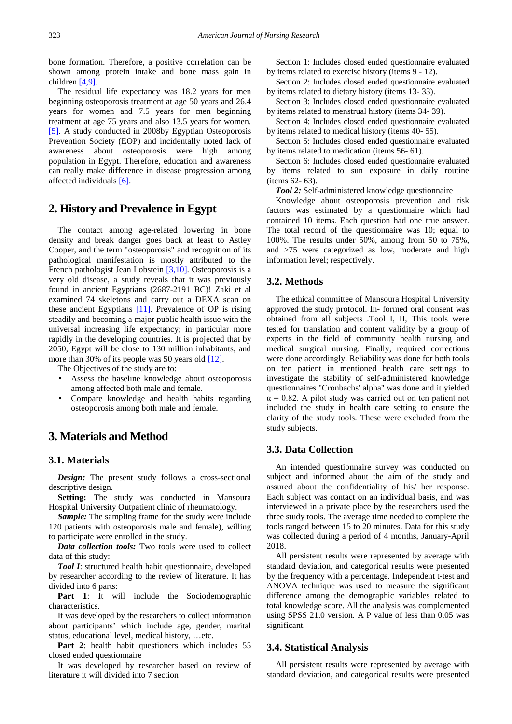bone formation. Therefore, a positive correlation can be shown among protein intake and bone mass gain in children [\[4,9\].](#page-5-2)

The residual life expectancy was 18.2 years for men beginning osteoporosis treatment at age 50 years and 26.4 years for women and 7.5 years for men beginning treatment at age 75 years and also 13.5 years for women. [\[5\].](#page-5-4) A study conducted in 2008by Egyptian Osteoporosis Prevention Society (EOP) and incidentally noted lack of awareness about osteoporosis were high among population in Egypt. Therefore, education and awareness can really make difference in disease progression among affected individuals [\[6\].](#page-5-5)

# **2. History and Prevalence in Egypt**

The contact among age-related lowering in bone density and break danger goes back at least to Astley Cooper, and the term "osteoporosis" and recognition of its pathological manifestation is mostly attributed to the French pathologist Jean Lobstein [\[3,10\].](#page-5-6) Osteoporosis is a very old disease, a study reveals that it was previously found in ancient Egyptians (2687-2191 BC)! Zaki et al examined 74 skeletons and carry out a DEXA scan on these ancient Egyptians [\[11\].](#page-5-7) Prevalence of OP is rising steadily and becoming a major public health issue with the universal increasing life expectancy; in particular more rapidly in the developing countries. It is projected that by 2050, Egypt will be close to 130 million inhabitants, and more than 30% of its people was 50 years old [\[12\].](#page-5-8)

The Objectives of the study are to:

- Assess the baseline knowledge about osteoporosis among affected both male and female.
- Compare knowledge and health habits regarding osteoporosis among both male and female.

# **3. Materials and Method**

#### **3.1. Materials**

*Design:* The present study follows a cross-sectional descriptive design.

Setting: The study was conducted in Mansoura Hospital University Outpatient clinic of rheumatology.

*Sample:* The sampling frame for the study were include 120 patients with osteoporosis male and female), willing to participate were enrolled in the study.

*Data collection tools:* Two tools were used to collect data of this study:

*Tool I*: structured health habit questionnaire, developed by researcher according to the review of literature. It has divided into 6 parts:

Part 1: It will include the Sociodemographic characteristics.

It was developed by the researchers to collect information about participants' which include age, gender, marital status, educational level, medical history, …etc.

Part 2: health habit questioners which includes 55 closed ended questionnaire

It was developed by researcher based on review of literature it will divided into 7 section

Section 1: Includes closed ended questionnaire evaluated by items related to exercise history (items 9 - 12).

Section 2: Includes closed ended questionnaire evaluated by items related to dietary history (items 13- 33).

Section 3: Includes closed ended questionnaire evaluated by items related to menstrual history (items 34- 39).

Section 4: Includes closed ended questionnaire evaluated by items related to medical history (items 40- 55).

Section 5: Includes closed ended questionnaire evaluated by items related to medication (items 56- 61).

Section 6: Includes closed ended questionnaire evaluated by items related to sun exposure in daily routine (items 62- 63).

*Tool 2:* Self-administered knowledge questionnaire

Knowledge about osteoporosis prevention and risk factors was estimated by a questionnaire which had contained 10 items. Each question had one true answer. The total record of the questionnaire was 10; equal to 100%. The results under 50%, among from 50 to 75%, and >75 were categorized as low, moderate and high information level; respectively.

#### **3.2. Methods**

The ethical committee of Mansoura Hospital University approved the study protocol. In- formed oral consent was obtained from all subjects .Tool I, II, This tools were tested for translation and content validity by a group of experts in the field of community health nursing and medical surgical nursing. Finally, required corrections were done accordingly. Reliability was done for both tools on ten patient in mentioned health care settings to investigate the stability of self-administered knowledge questionnaires ''Cronbachs' alpha'' was done and it yielded  $\alpha$  = 0.82. A pilot study was carried out on ten patient not included the study in health care setting to ensure the clarity of the study tools. These were excluded from the study subjects.

### **3.3. Data Collection**

An intended questionnaire survey was conducted on subject and informed about the aim of the study and assured about the confidentiality of his/ her response. Each subject was contact on an individual basis, and was interviewed in a private place by the researchers used the three study tools. The average time needed to complete the tools ranged between 15 to 20 minutes. Data for this study was collected during a period of 4 months, January-April 2018.

All persistent results were represented by average with standard deviation, and categorical results were presented by the frequency with a percentage. Independent t-test and ANOVA technique was used to measure the significant difference among the demographic variables related to total knowledge score. All the analysis was complemented using SPSS 21.0 version. A P value of less than 0.05 was significant.

#### **3.4. Statistical Analysis**

All persistent results were represented by average with standard deviation, and categorical results were presented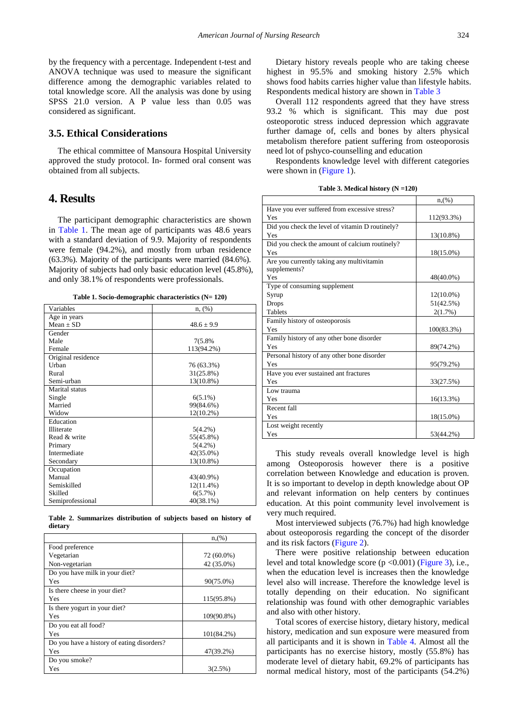by the frequency with a percentage. Independent t-test and ANOVA technique was used to measure the significant difference among the demographic variables related to total knowledge score. All the analysis was done by using SPSS 21.0 version. A P value less than 0.05 was considered as significant.

#### **3.5. Ethical Considerations**

The ethical committee of Mansoura Hospital University approved the study protocol. In- formed oral consent was obtained from all subjects.

## **4. Results**

The participant demographic characteristics are shown in [Table 1.](#page-2-0) The mean age of participants was 48.6 years with a standard deviation of 9.9. Majority of respondents were female (94.2%), and mostly from urban residence (63.3%). Majority of the participants were married (84.6%). Majority of subjects had only basic education level (45.8%), and only 38.1% of respondents were professionals.

| Table 1. Socio-demographic characteristics (N= 120) |  |  |
|-----------------------------------------------------|--|--|
|-----------------------------------------------------|--|--|

<span id="page-2-0"></span>

| Variables          | $n, (\%)$      |
|--------------------|----------------|
| Age in years       |                |
| $Mean \pm SD$      | $48.6 \pm 9.9$ |
| Gender             |                |
| Male               | 7(5.8%)        |
| Female             | 113(94.2%)     |
| Original residence |                |
| <b>Urhan</b>       | 76 (63.3%)     |
| Rural              | 31(25.8%)      |
| Semi-urban         | $13(10.8\%)$   |
| Marital status     |                |
| Single             | $6(5.1\%)$     |
| Married            | 99(84.6%)      |
| Widow              | $12(10.2\%)$   |
| Education          |                |
| <b>Illiterate</b>  | $5(4.2\%)$     |
| Read & write       | 55(45.8%)      |
| Primary            | $5(4.2\%)$     |
| Intermediate       | 42(35.0%)      |
| Secondary          | 13(10.8%)      |
| Occupation         |                |
| Manual             | 43(40.9%)      |
| Semiskilled        | $12(11.4\%)$   |
| Skilled            | 6(5.7%)        |
| Semiprofessional   | $40(38.1\%)$   |

**Table 2. Summarizes distribution of subjects based on history of dietary**

<span id="page-2-2"></span>

|                                            | n(%)          |
|--------------------------------------------|---------------|
| Food preference                            |               |
| Vegetarian                                 | 72 (60.0%)    |
| Non-vegetarian                             | 42 (35.0%)    |
| Do you have milk in your diet?             |               |
| Yes                                        | 90(75.0%)     |
| Is there cheese in your diet?              |               |
| Yes                                        | 115(95.8%)    |
| Is there yogurt in your diet?              |               |
| Yes                                        | 109(90.8%)    |
| Do you eat all food?                       |               |
| Yes                                        | $101(84.2\%)$ |
| Do you have a history of eating disorders? |               |
| Yes                                        | 47(39.2%)     |
| Do you smoke?                              |               |
| Yes                                        | 3(2.5%)       |

Dietary history reveals people who are taking cheese highest in 95.5% and smoking history 2.5% which shows food habits carries higher value than lifestyle habits. Respondents medical history are shown in [Table 3](#page-2-1)

Overall 112 respondents agreed that they have stress 93.2 % which is significant. This may due post osteoporotic stress induced depression which aggravate further damage of, cells and bones by alters physical metabolism therefore patient suffering from osteoporosis need lot of pshyco-counselling and education

Respondents knowledge level with different categories were shown in [\(Figure 1\)](#page-3-0).

<span id="page-2-1"></span>

|                                                 | n,(%)        |
|-------------------------------------------------|--------------|
| Have you ever suffered from excessive stress?   |              |
| Yes                                             | 112(93.3%)   |
| Did you check the level of vitamin D routinely? |              |
| Yes                                             | 13(10.8%)    |
| Did you check the amount of calcium routinely?  |              |
| Yes                                             | 18(15.0%)    |
| Are you currently taking any multivitamin       |              |
| supplements?                                    |              |
| Yes                                             | 48(40.0%)    |
| Type of consuming supplement                    |              |
| Syrup                                           | $12(10.0\%)$ |
| <b>Drops</b>                                    | 51(42.5%)    |
| <b>Tablets</b>                                  | 2(1.7%)      |
| Family history of osteoporosis                  |              |
| Yes                                             | 100(83.3%)   |
| Family history of any other bone disorder       |              |
| Yes                                             | 89(74.2%)    |
| Personal history of any other bone disorder     |              |
| Yes                                             | 95(79.2%)    |
| Have you ever sustained ant fractures           |              |
| Yes                                             | 33(27.5%)    |
| Low trauma                                      |              |
| Yes                                             | 16(13.3%)    |
| Recent fall                                     |              |
| Yes                                             | 18(15.0%)    |
| Lost weight recently                            |              |
| Yes                                             | 53(44.2%)    |

**Table 3. Medical history (N =120)**

This study reveals overall knowledge level is high among Osteoporosis however there is a positive correlation between Knowledge and education is proven. It is so important to develop in depth knowledge about OP and relevant information on help centers by continues education. At this point community level involvement is very much required.

Most interviewed subjects (76.7%) had high knowledge about osteoporosis regarding the concept of the disorder and its risk factors [\(Figure 2\)](#page-3-1).

There were positive relationship between education level and total knowledge score (p <0.001) [\(Figure 3\)](#page-4-0), i.e., when the education level is increases then the knowledge level also will increase. Therefore the knowledge level is totally depending on their education. No significant relationship was found with other demographic variables and also with other history.

Total scores of exercise history, dietary history, medical history, medication and sun exposure were measured from all participants and it is shown in [Table 4.](#page-4-1) Almost all the participants has no exercise history, mostly (55.8%) has moderate level of dietary habit, 69.2% of participants has normal medical history, most of the participants (54.2%)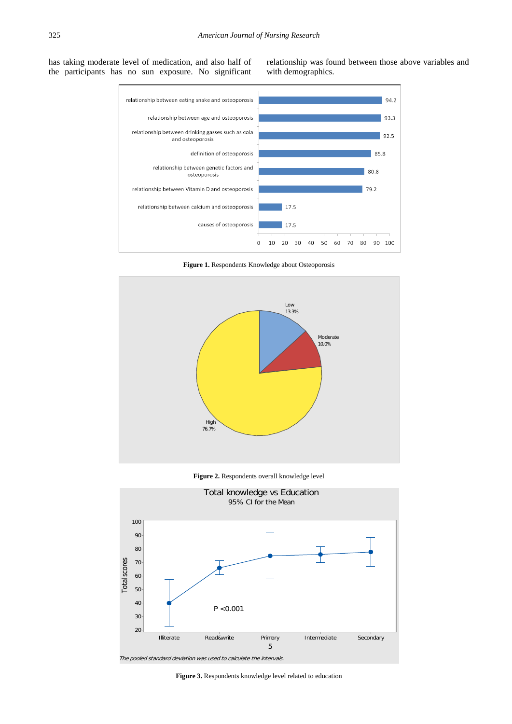<span id="page-3-0"></span>has taking moderate level of medication, and also half of the participants has no sun exposure. No significant relationship was found between those above variables and with demographics.



**Figure 1.** Respondents Knowledge about Osteoporosis



**Figure 2.** Respondents overall knowledge level

<span id="page-3-1"></span>

**Figure 3.** Respondents knowledge level related to education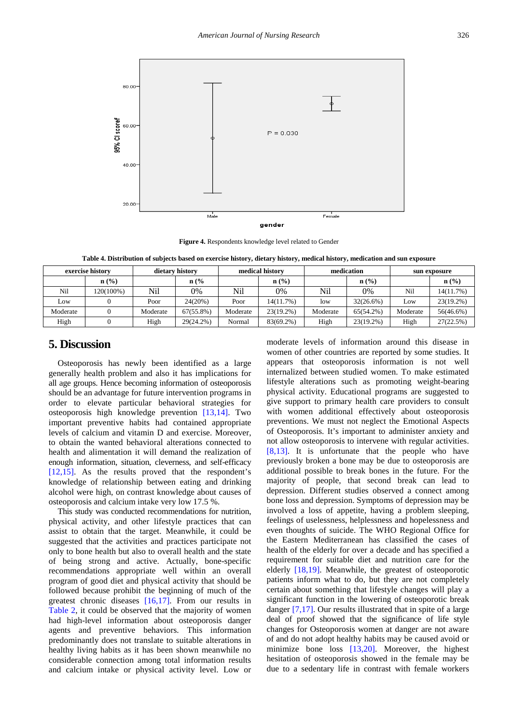<span id="page-4-0"></span>

**Figure 4.** Respondents knowledge level related to Gender

**Table 4. Distribution of subjects based on exercise history, dietary history, medical history, medication and sun exposure**

<span id="page-4-1"></span>

| exercise history |                  |          | dietary history |          | medical history |          | medication   |          | sun exposure     |  |
|------------------|------------------|----------|-----------------|----------|-----------------|----------|--------------|----------|------------------|--|
|                  | $\mathbf{n}(\%)$ |          | $n\frac{6}{6}$  |          | $n$ (%)         |          | n (% )       |          | $\mathbf{n}(\%)$ |  |
| Nil              | 120(100%)        | Nil      | 0%              | Nil      | 0%              | Nil      | 0%           | Nil      | 14(11.7%)        |  |
| Low              |                  | Poor     | 24(20%)         | Poor     | 14(11.7%)       | low      | $32(26.6\%)$ | Low      | 23(19.2%)        |  |
| Moderate         |                  | Moderate | $67(55.8\%)$    | Moderate | $23(19.2\%)$    | Moderate | 65(54.2%)    | Moderate | 56(46.6%)        |  |
| High             |                  | High     | 29(24.2%)       | Normal   | 83(69.2%)       | High     | $23(19.2\%)$ | High     | 27(22.5%)        |  |

## **5. Discussion**

Osteoporosis has newly been identified as a large generally health problem and also it has implications for all age groups. Hence becoming information of osteoporosis should be an advantage for future intervention programs in order to elevate particular behavioral strategies for osteoporosis high knowledge prevention [\[13,14\].](#page-5-9) Two important preventive habits had contained appropriate levels of calcium and vitamin D and exercise. Moreover, to obtain the wanted behavioral alterations connected to health and alimentation it will demand the realization of enough information, situation, cleverness, and self-efficacy [\[12,15\].](#page-5-8) As the results proved that the respondent's knowledge of relationship between eating and drinking alcohol were high, on contrast knowledge about causes of osteoporosis and calcium intake very low 17.5 %.

This study was conducted recommendations for nutrition, physical activity, and other lifestyle practices that can assist to obtain that the target. Meanwhile, it could be suggested that the activities and practices participate not only to bone health but also to overall health and the state of being strong and active. Actually, bone-specific recommendations appropriate well within an overall program of good diet and physical activity that should be followed because prohibit the beginning of much of the greatest chronic diseases [\[16,17\].](#page-5-10) From our results in [Table 2,](#page-2-2) it could be observed that the majority of women had high-level information about osteoporosis danger agents and preventive behaviors. This information predominantly does not translate to suitable alterations in healthy living habits as it has been shown meanwhile no considerable connection among total information results and calcium intake or physical activity level. Low or moderate levels of information around this disease in women of other countries are reported by some studies. It appears that osteoporosis information is not well internalized between studied women. To make estimated lifestyle alterations such as promoting weight-bearing physical activity. Educational programs are suggested to give support to primary health care providers to consult with women additional effectively about osteoporosis preventions. We must not neglect the Emotional Aspects of Osteoporosis. It's important to administer anxiety and not allow osteoporosis to intervene with regular activities. [\[8,13\].](#page-5-11) It is unfortunate that the people who have previously broken a bone may be due to osteoporosis are additional possible to break bones in the future. For the majority of people, that second break can lead to depression. Different studies observed a connect among bone loss and depression. Symptoms of depression may be involved a loss of appetite, having a problem sleeping, feelings of uselessness, helplessness and hopelessness and even thoughts of suicide. The WHO Regional Office for the Eastern Mediterranean has classified the cases of health of the elderly for over a decade and has specified a requirement for suitable diet and nutrition care for the elderly [\[18,19\].](#page-5-12) Meanwhile, the greatest of osteoporotic patients inform what to do, but they are not completely certain about something that lifestyle changes will play a significant function in the lowering of osteoporotic break danger [\[7,17\].](#page-5-3) Our results illustrated that in spite of a large deal of proof showed that the significance of life style changes for Osteoporosis women at danger are not aware of and do not adopt healthy habits may be caused avoid or minimize bone loss [\[13,20\].](#page-5-9) Moreover, the highest hesitation of osteoporosis showed in the female may be due to a sedentary life in contrast with female workers